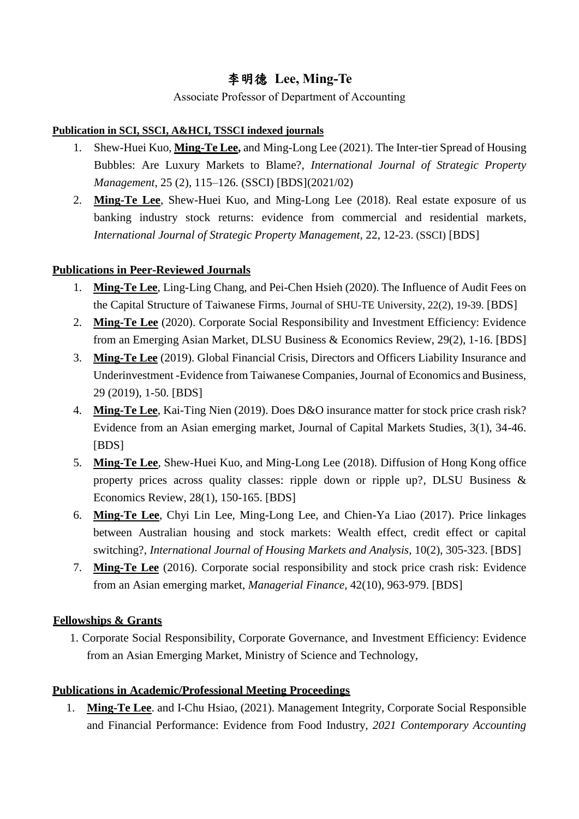# 李明德 **Lee, Ming-Te**

## Associate Professor of Department of Accounting

#### **Publication in SCI, SSCI, A&HCI, TSSCI indexed journals**

- 1. Shew-Huei Kuo, **Ming-Te Lee,** and Ming-Long Lee (2021). The Inter-tier Spread of Housing Bubbles: Are Luxury Markets to Blame?, *International Journal of Strategic Property Management*, 25 (2), 115–126. (SSCI) [BDS](2021/02)
- 2. **Ming-Te Lee**, Shew-Huei Kuo, and Ming-Long Lee (2018). [Real estate exposure of us](http://eportfolio.mcu.edu.tw/ePortfolio/Teacher/Html/Common/epdf/9900285/RE_D2_20181002_11403.PDF)  [banking industry stock returns: evidence from commercial and residential markets,](http://eportfolio.mcu.edu.tw/ePortfolio/Teacher/Html/Common/epdf/9900285/RE_D2_20181002_11403.PDF) *International Journal of Strategic Property Management,* 22, 12-23. (SSCI) [BDS]

### **Publications in Peer-Reviewed Journals**

- 1. **Ming-Te Lee**, Ling-Ling Chang, and Pei-Chen Hsieh (2020). The Influence of Audit Fees on the Capital Structure of Taiwanese Firms, Journal of SHU-TE University, 22(2), 19-39. [BDS]
- 2. **Ming-Te Lee** (2020). Corporate Social Responsibility and Investment Efficiency: Evidence from an Emerging Asian Market, DLSU Business & Economics Review, 29(2), 1-16. [BDS]
- 3. **Ming-Te Lee** (2019). Global Financial Crisis, Directors and Officers Liability Insurance and Underinvestment -Evidence from Taiwanese Companies, Journal of Economics and Business, 29 (2019), 1-50. [BDS]
- 4. **Ming-Te Lee**, Kai-Ting Nien (2019). Does D&O insurance matter for stock price crash risk? Evidence from an Asian emerging market, Journal of Capital Markets Studies, 3(1), 34-46. [BDS]
- 5. **Ming-Te Lee**, Shew-Huei Kuo, and Ming-Long Lee (2018). [Diffusion of Hong Kong office](http://eportfolio.mcu.edu.tw/ePortfolio/Teacher/Html/Common/epdf/9900285/RE_D2_20181204_11560.PDF)  [property prices across quality classes: ripple down or ripple up?,](http://eportfolio.mcu.edu.tw/ePortfolio/Teacher/Html/Common/epdf/9900285/RE_D2_20181204_11560.PDF) DLSU Business & Economics Review, 28(1), 150-165. [BDS]
- 6. **Ming-Te Lee**, Chyi Lin Lee, Ming-Long Lee, and Chien-Ya Liao (2017). [Price linkages](http://eportfolio.mcu.edu.tw/ePortfolio/Teacher/Html/Common/epdf/9900285/RE_D2_20170525_10711.PDF)  [between Australian housing and stock markets: Wealth effect, credit effect or capital](http://eportfolio.mcu.edu.tw/ePortfolio/Teacher/Html/Common/epdf/9900285/RE_D2_20170525_10711.PDF)  [switching?,](http://eportfolio.mcu.edu.tw/ePortfolio/Teacher/Html/Common/epdf/9900285/RE_D2_20170525_10711.PDF) *International Journal of Housing Markets and Analysis,* 10(2), 305-323. [BDS]
- 7. **Ming-Te Lee** (2016). Corporate social responsibility and stock price crash risk: Evidence from an Asian emerging market, *Managerial Finance*, 42(10), 963-979. [BDS]

### **Fellowships & Grants**

1. Corporate Social Responsibility, Corporate Governance, and Investment Efficiency: Evidence from an Asian Emerging Market, Ministry of Science and Technology,

### **Publications in Academic/Professional Meeting Proceedings**

1. **Ming-Te Lee**. and I-Chu Hsiao, (2021). Management Integrity, Corporate Social Responsible and Financial Performance: Evidence from Food Industry, *2021 Contemporary Accounting*